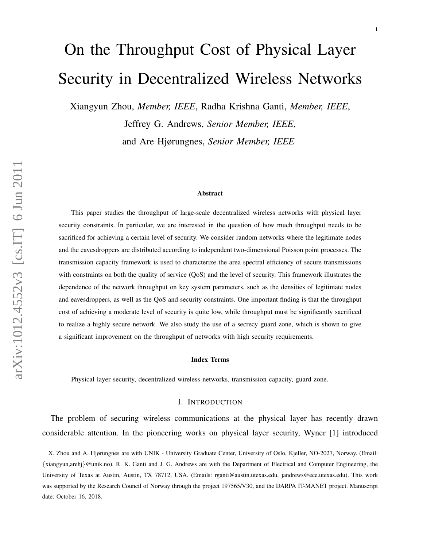# On the Throughput Cost of Physical Layer Security in Decentralized Wireless Networks

Xiangyun Zhou, *Member, IEEE*, Radha Krishna Ganti, *Member, IEEE*,

Jeffrey G. Andrews, *Senior Member, IEEE*, and Are Hjørungnes, *Senior Member, IEEE*

#### Abstract

This paper studies the throughput of large-scale decentralized wireless networks with physical layer security constraints. In particular, we are interested in the question of how much throughput needs to be sacrificed for achieving a certain level of security. We consider random networks where the legitimate nodes and the eavesdroppers are distributed according to independent two-dimensional Poisson point processes. The transmission capacity framework is used to characterize the area spectral efficiency of secure transmissions with constraints on both the quality of service (QoS) and the level of security. This framework illustrates the dependence of the network throughput on key system parameters, such as the densities of legitimate nodes and eavesdroppers, as well as the QoS and security constraints. One important finding is that the throughput cost of achieving a moderate level of security is quite low, while throughput must be significantly sacrificed to realize a highly secure network. We also study the use of a secrecy guard zone, which is shown to give a significant improvement on the throughput of networks with high security requirements.

#### Index Terms

Physical layer security, decentralized wireless networks, transmission capacity, guard zone.

#### I. INTRODUCTION

The problem of securing wireless communications at the physical layer has recently drawn considerable attention. In the pioneering works on physical layer security, Wyner [1] introduced

X. Zhou and A. Hjørungnes are with UNIK - University Graduate Center, University of Oslo, Kjeller, NO-2027, Norway. (Email: {xiangyun,arehj}@unik.no). R. K. Ganti and J. G. Andrews are with the Department of Electrical and Computer Engineering, the University of Texas at Austin, Austin, TX 78712, USA. (Emails: rganti@austin.utexas.edu, jandrews@ece.utexas.edu). This work was supported by the Research Council of Norway through the project 197565/V30, and the DARPA IT-MANET project. Manuscript date: October 16, 2018.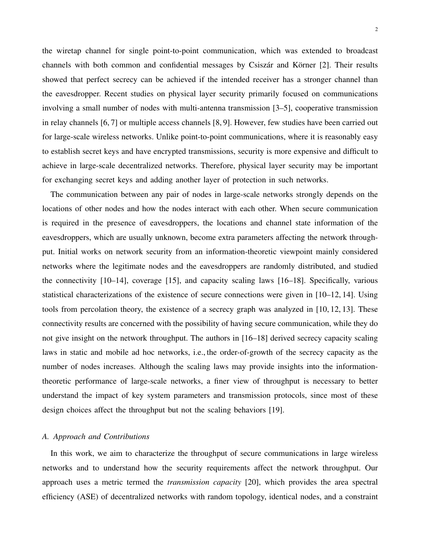the wiretap channel for single point-to-point communication, which was extended to broadcast channels with both common and confidential messages by Csiszár and Körner  $[2]$ . Their results showed that perfect secrecy can be achieved if the intended receiver has a stronger channel than the eavesdropper. Recent studies on physical layer security primarily focused on communications involving a small number of nodes with multi-antenna transmission [3–5], cooperative transmission in relay channels [6, 7] or multiple access channels [8, 9]. However, few studies have been carried out for large-scale wireless networks. Unlike point-to-point communications, where it is reasonably easy to establish secret keys and have encrypted transmissions, security is more expensive and difficult to achieve in large-scale decentralized networks. Therefore, physical layer security may be important for exchanging secret keys and adding another layer of protection in such networks.

The communication between any pair of nodes in large-scale networks strongly depends on the locations of other nodes and how the nodes interact with each other. When secure communication is required in the presence of eavesdroppers, the locations and channel state information of the eavesdroppers, which are usually unknown, become extra parameters affecting the network throughput. Initial works on network security from an information-theoretic viewpoint mainly considered networks where the legitimate nodes and the eavesdroppers are randomly distributed, and studied the connectivity [10–14], coverage [15], and capacity scaling laws [16–18]. Specifically, various statistical characterizations of the existence of secure connections were given in [10–12, 14]. Using tools from percolation theory, the existence of a secrecy graph was analyzed in [10, 12, 13]. These connectivity results are concerned with the possibility of having secure communication, while they do not give insight on the network throughput. The authors in [16–18] derived secrecy capacity scaling laws in static and mobile ad hoc networks, i.e., the order-of-growth of the secrecy capacity as the number of nodes increases. Although the scaling laws may provide insights into the informationtheoretic performance of large-scale networks, a finer view of throughput is necessary to better understand the impact of key system parameters and transmission protocols, since most of these design choices affect the throughput but not the scaling behaviors [19].

# *A. Approach and Contributions*

In this work, we aim to characterize the throughput of secure communications in large wireless networks and to understand how the security requirements affect the network throughput. Our approach uses a metric termed the *transmission capacity* [20], which provides the area spectral efficiency (ASE) of decentralized networks with random topology, identical nodes, and a constraint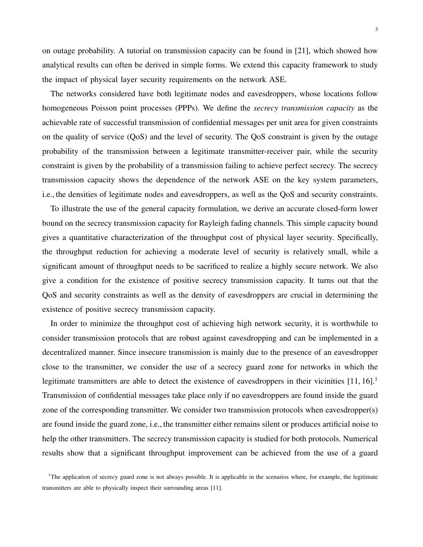on outage probability. A tutorial on transmission capacity can be found in [21], which showed how analytical results can often be derived in simple forms. We extend this capacity framework to study the impact of physical layer security requirements on the network ASE.

The networks considered have both legitimate nodes and eavesdroppers, whose locations follow homogeneous Poisson point processes (PPPs). We define the *secrecy transmission capacity* as the achievable rate of successful transmission of confidential messages per unit area for given constraints on the quality of service (QoS) and the level of security. The QoS constraint is given by the outage probability of the transmission between a legitimate transmitter-receiver pair, while the security constraint is given by the probability of a transmission failing to achieve perfect secrecy. The secrecy transmission capacity shows the dependence of the network ASE on the key system parameters, i.e., the densities of legitimate nodes and eavesdroppers, as well as the QoS and security constraints.

To illustrate the use of the general capacity formulation, we derive an accurate closed-form lower bound on the secrecy transmission capacity for Rayleigh fading channels. This simple capacity bound gives a quantitative characterization of the throughput cost of physical layer security. Specifically, the throughput reduction for achieving a moderate level of security is relatively small, while a significant amount of throughput needs to be sacrificed to realize a highly secure network. We also give a condition for the existence of positive secrecy transmission capacity. It turns out that the QoS and security constraints as well as the density of eavesdroppers are crucial in determining the existence of positive secrecy transmission capacity.

In order to minimize the throughput cost of achieving high network security, it is worthwhile to consider transmission protocols that are robust against eavesdropping and can be implemented in a decentralized manner. Since insecure transmission is mainly due to the presence of an eavesdropper close to the transmitter, we consider the use of a secrecy guard zone for networks in which the legitimate transmitters are able to detect the existence of eavesdroppers in their vicinities  $[11, 16]$ .<sup>1</sup> Transmission of confidential messages take place only if no eavesdroppers are found inside the guard zone of the corresponding transmitter. We consider two transmission protocols when eavesdropper(s) are found inside the guard zone, i.e., the transmitter either remains silent or produces artificial noise to help the other transmitters. The secrecy transmission capacity is studied for both protocols. Numerical results show that a significant throughput improvement can be achieved from the use of a guard

<sup>&</sup>lt;sup>1</sup>The application of secrecy guard zone is not always possible. It is applicable in the scenarios where, for example, the legitimate transmitters are able to physically inspect their surrounding areas [11].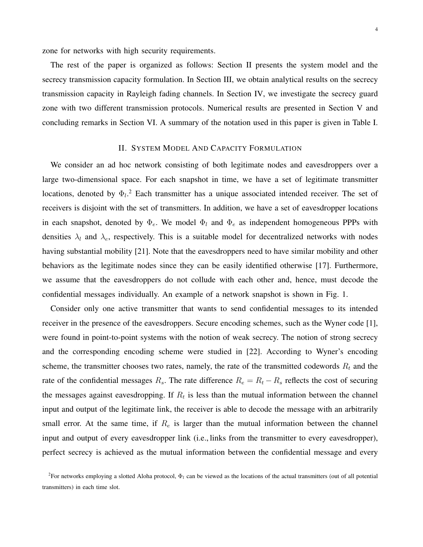zone for networks with high security requirements.

The rest of the paper is organized as follows: Section II presents the system model and the secrecy transmission capacity formulation. In Section III, we obtain analytical results on the secrecy transmission capacity in Rayleigh fading channels. In Section IV, we investigate the secrecy guard zone with two different transmission protocols. Numerical results are presented in Section V and concluding remarks in Section VI. A summary of the notation used in this paper is given in Table I.

# II. SYSTEM MODEL AND CAPACITY FORMULATION

We consider an ad hoc network consisting of both legitimate nodes and eavesdroppers over a large two-dimensional space. For each snapshot in time, we have a set of legitimate transmitter locations, denoted by  $\Phi_l$ .<sup>2</sup> Each transmitter has a unique associated intended receiver. The set of receivers is disjoint with the set of transmitters. In addition, we have a set of eavesdropper locations in each snapshot, denoted by  $\Phi_e$ . We model  $\Phi_l$  and  $\Phi_e$  as independent homogeneous PPPs with densities  $\lambda_l$  and  $\lambda_e$ , respectively. This is a suitable model for decentralized networks with nodes having substantial mobility [21]. Note that the eavesdroppers need to have similar mobility and other behaviors as the legitimate nodes since they can be easily identified otherwise [17]. Furthermore, we assume that the eavesdroppers do not collude with each other and, hence, must decode the confidential messages individually. An example of a network snapshot is shown in Fig. 1.

Consider only one active transmitter that wants to send confidential messages to its intended receiver in the presence of the eavesdroppers. Secure encoding schemes, such as the Wyner code [1], were found in point-to-point systems with the notion of weak secrecy. The notion of strong secrecy and the corresponding encoding scheme were studied in [22]. According to Wyner's encoding scheme, the transmitter chooses two rates, namely, the rate of the transmitted codewords  $R_t$  and the rate of the confidential messages  $R_s$ . The rate difference  $R_e = R_t - R_s$  reflects the cost of securing the messages against eavesdropping. If  $R_t$  is less than the mutual information between the channel input and output of the legitimate link, the receiver is able to decode the message with an arbitrarily small error. At the same time, if  $R_e$  is larger than the mutual information between the channel input and output of every eavesdropper link (i.e., links from the transmitter to every eavesdropper), perfect secrecy is achieved as the mutual information between the confidential message and every

<sup>&</sup>lt;sup>2</sup> For networks employing a slotted Aloha protocol,  $\Phi_l$  can be viewed as the locations of the actual transmitters (out of all potential transmitters) in each time slot.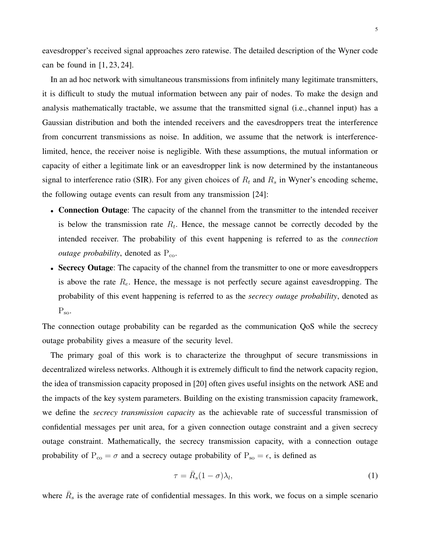eavesdropper's received signal approaches zero ratewise. The detailed description of the Wyner code can be found in [1, 23, 24].

In an ad hoc network with simultaneous transmissions from infinitely many legitimate transmitters, it is difficult to study the mutual information between any pair of nodes. To make the design and analysis mathematically tractable, we assume that the transmitted signal (i.e., channel input) has a Gaussian distribution and both the intended receivers and the eavesdroppers treat the interference from concurrent transmissions as noise. In addition, we assume that the network is interferencelimited, hence, the receiver noise is negligible. With these assumptions, the mutual information or capacity of either a legitimate link or an eavesdropper link is now determined by the instantaneous signal to interference ratio (SIR). For any given choices of  $R_t$  and  $R_s$  in Wyner's encoding scheme, the following outage events can result from any transmission [24]:

- Connection Outage: The capacity of the channel from the transmitter to the intended receiver is below the transmission rate  $R_t$ . Hence, the message cannot be correctly decoded by the intended receiver. The probability of this event happening is referred to as the *connection outage probability*, denoted as  $P_{\text{co}}$ .
- Secrecy Outage: The capacity of the channel from the transmitter to one or more eavesdroppers is above the rate  $R_e$ . Hence, the message is not perfectly secure against eavesdropping. The probability of this event happening is referred to as the *secrecy outage probability*, denoted as  $P_{so}.$

The connection outage probability can be regarded as the communication QoS while the secrecy outage probability gives a measure of the security level.

The primary goal of this work is to characterize the throughput of secure transmissions in decentralized wireless networks. Although it is extremely difficult to find the network capacity region, the idea of transmission capacity proposed in [20] often gives useful insights on the network ASE and the impacts of the key system parameters. Building on the existing transmission capacity framework, we define the *secrecy transmission capacity* as the achievable rate of successful transmission of confidential messages per unit area, for a given connection outage constraint and a given secrecy outage constraint. Mathematically, the secrecy transmission capacity, with a connection outage probability of  $P_{\rm co} = \sigma$  and a secrecy outage probability of  $P_{\rm so} = \epsilon$ , is defined as

$$
\tau = \bar{R}_s (1 - \sigma) \lambda_l,\tag{1}
$$

where  $\bar{R}_s$  is the average rate of confidential messages. In this work, we focus on a simple scenario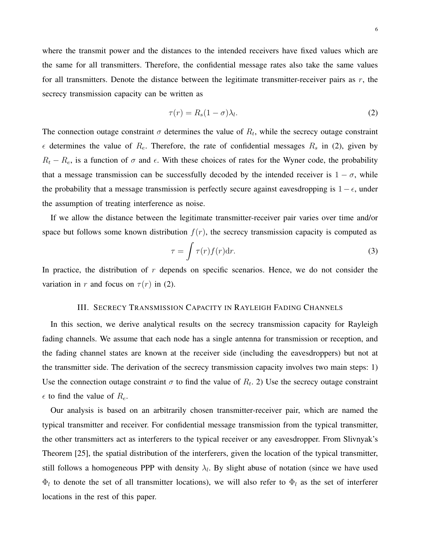where the transmit power and the distances to the intended receivers have fixed values which are the same for all transmitters. Therefore, the confidential message rates also take the same values for all transmitters. Denote the distance between the legitimate transmitter-receiver pairs as  $r$ , the secrecy transmission capacity can be written as

$$
\tau(r) = R_s(1 - \sigma)\lambda_l. \tag{2}
$$

The connection outage constraint  $\sigma$  determines the value of  $R_t$ , while the secrecy outage constraint  $\epsilon$  determines the value of  $R_e$ . Therefore, the rate of confidential messages  $R_s$  in (2), given by  $R_t - R_e$ , is a function of  $\sigma$  and  $\epsilon$ . With these choices of rates for the Wyner code, the probability that a message transmission can be successfully decoded by the intended receiver is  $1 - \sigma$ , while the probability that a message transmission is perfectly secure against eavesdropping is  $1 - \epsilon$ , under the assumption of treating interference as noise.

If we allow the distance between the legitimate transmitter-receiver pair varies over time and/or space but follows some known distribution  $f(r)$ , the secrecy transmission capacity is computed as

$$
\tau = \int \tau(r) f(r) dr.
$$
 (3)

In practice, the distribution of  $r$  depends on specific scenarios. Hence, we do not consider the variation in r and focus on  $\tau(r)$  in (2).

# III. SECRECY TRANSMISSION CAPACITY IN RAYLEIGH FADING CHANNELS

In this section, we derive analytical results on the secrecy transmission capacity for Rayleigh fading channels. We assume that each node has a single antenna for transmission or reception, and the fading channel states are known at the receiver side (including the eavesdroppers) but not at the transmitter side. The derivation of the secrecy transmission capacity involves two main steps: 1) Use the connection outage constraint  $\sigma$  to find the value of  $R_t$ . 2) Use the secrecy outage constraint  $\epsilon$  to find the value of  $R_e$ .

Our analysis is based on an arbitrarily chosen transmitter-receiver pair, which are named the typical transmitter and receiver. For confidential message transmission from the typical transmitter, the other transmitters act as interferers to the typical receiver or any eavesdropper. From Slivnyak's Theorem [25], the spatial distribution of the interferers, given the location of the typical transmitter, still follows a homogeneous PPP with density  $\lambda_l$ . By slight abuse of notation (since we have used  $\Phi_l$  to denote the set of all transmitter locations), we will also refer to  $\Phi_l$  as the set of interferer locations in the rest of this paper.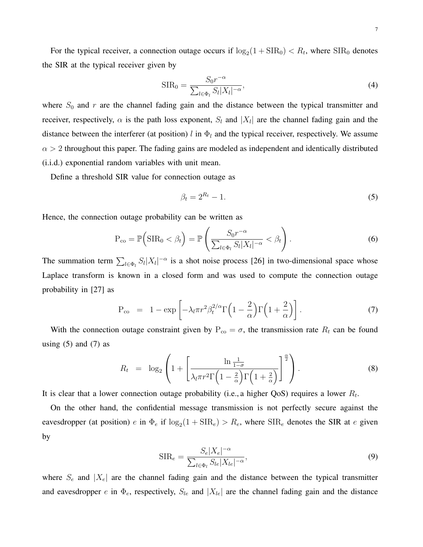For the typical receiver, a connection outage occurs if  $log_2(1 + SIR_0) < R_t$ , where  $SIR_0$  denotes the SIR at the typical receiver given by

$$
SIR_0 = \frac{S_0 r^{-\alpha}}{\sum_{l \in \Phi_l} S_l |X_l|^{-\alpha}},\tag{4}
$$

where  $S_0$  and r are the channel fading gain and the distance between the typical transmitter and receiver, respectively,  $\alpha$  is the path loss exponent,  $S_l$  and  $|X_l|$  are the channel fading gain and the distance between the interferer (at position) l in  $\Phi_l$  and the typical receiver, respectively. We assume  $\alpha > 2$  throughout this paper. The fading gains are modeled as independent and identically distributed (i.i.d.) exponential random variables with unit mean.

Define a threshold SIR value for connection outage as

$$
\beta_t = 2^{R_t} - 1. \tag{5}
$$

Hence, the connection outage probability can be written as

$$
P_{\rm co} = \mathbb{P}\Big(\text{SIR}_0 < \beta_t\Big) = \mathbb{P}\left(\frac{S_0 r^{-\alpha}}{\sum_{l \in \Phi_l} S_l |X_l|^{-\alpha}} < \beta_t\right). \tag{6}
$$

The summation term  $\sum_{l \in \Phi_l} S_l |X_l|^{-\alpha}$  is a shot noise process [26] in two-dimensional space whose Laplace transform is known in a closed form and was used to compute the connection outage probability in [27] as

$$
P_{\rm co} = 1 - \exp\left[-\lambda_l \pi r^2 \beta_t^{2/\alpha} \Gamma\left(1 - \frac{2}{\alpha}\right) \Gamma\left(1 + \frac{2}{\alpha}\right)\right].\tag{7}
$$

With the connection outage constraint given by  $P_{\text{co}} = \sigma$ , the transmission rate  $R_t$  can be found using  $(5)$  and  $(7)$  as

$$
R_t = \log_2\left(1 + \left[\frac{\ln\frac{1}{1-\sigma}}{\lambda_t \pi r^2 \Gamma\left(1-\frac{2}{\alpha}\right) \Gamma\left(1+\frac{2}{\alpha}\right)}\right]^{\frac{\alpha}{2}}\right). \tag{8}
$$

It is clear that a lower connection outage probability (i.e., a higher QoS) requires a lower  $R_t$ .

On the other hand, the confidential message transmission is not perfectly secure against the eavesdropper (at position)  $e$  in  $\Phi_e$  if  $\log_2(1 + \text{SIR}_e) > R_e$ , where  $\text{SIR}_e$  denotes the SIR at  $e$  given by

$$
SIR_e = \frac{S_e|X_e|^{-\alpha}}{\sum_{l \in \Phi_l} S_{le}|X_{le}|^{-\alpha}},\tag{9}
$$

where  $S_e$  and  $|X_e|$  are the channel fading gain and the distance between the typical transmitter and eavesdropper e in  $\Phi_e$ , respectively,  $S_{le}$  and  $|X_{le}|$  are the channel fading gain and the distance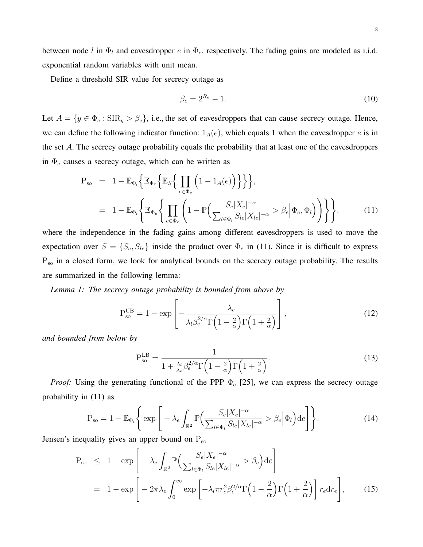between node l in  $\Phi_l$  and eavesdropper e in  $\Phi_e$ , respectively. The fading gains are modeled as i.i.d. exponential random variables with unit mean.

Define a threshold SIR value for secrecy outage as

$$
\beta_e = 2^{R_e} - 1.\tag{10}
$$

Let  $A = \{y \in \Phi_e : \text{SIR}_y > \beta_e\}$ , i.e., the set of eavesdroppers that can cause secrecy outage. Hence, we can define the following indicator function:  $1_A(e)$ , which equals 1 when the eavesdropper e is in the set A. The secrecy outage probability equals the probability that at least one of the eavesdroppers in  $\Phi_e$  causes a secrecy outage, which can be written as

$$
P_{so} = 1 - \mathbb{E}_{\Phi_l} \Big\{ \mathbb{E}_{\Phi_e} \Big\{ \mathbb{E}_{S} \Big\{ \prod_{e \in \Phi_e} \Big( 1 - 1_A(e) \Big) \Big\} \Big\},
$$
  
= 
$$
1 - \mathbb{E}_{\Phi_l} \Big\{ \mathbb{E}_{\Phi_e} \Big\{ \prod_{e \in \Phi_e} \Big( 1 - \mathbb{P} \Big( \frac{S_e |X_e|^{-\alpha}}{\sum_{l \in \Phi_l} S_{le} |X_{le}|^{-\alpha}} > \beta_e \Big| \Phi_e, \Phi_l \Big) \Big) \Big\} \Big\}.
$$
 (11)

where the independence in the fading gains among different eavesdroppers is used to move the expectation over  $S = \{S_e, S_{le}\}\$ inside the product over  $\Phi_e$  in (11). Since it is difficult to express P<sub>so</sub> in a closed form, we look for analytical bounds on the secrecy outage probability. The results are summarized in the following lemma:

*Lemma 1: The secrecy outage probability is bounded from above by*

$$
P_{so}^{UB} = 1 - \exp\left[-\frac{\lambda_e}{\lambda_l \beta_e^{2/\alpha} \Gamma\left(1 - \frac{2}{\alpha}\right) \Gamma\left(1 + \frac{2}{\alpha}\right)}\right],\tag{12}
$$

*and bounded from below by*

$$
P_{so}^{LB} = \frac{1}{1 + \frac{\lambda_l}{\lambda_e} \beta_e^{2/\alpha} \Gamma \left( 1 - \frac{2}{\alpha} \right) \Gamma \left( 1 + \frac{2}{\alpha} \right)}.
$$
\n(13)

*Proof:* Using the generating functional of the PPP  $\Phi_e$  [25], we can express the secrecy outage probability in (11) as

$$
P_{so} = 1 - \mathbb{E}_{\Phi_l} \Bigg\{ \exp \Bigg[ -\lambda_e \int_{\mathbb{R}^2} \mathbb{P} \Big( \frac{S_e |X_e|^{-\alpha}}{\sum_{l \in \Phi_l} S_{le} |X_{le}|^{-\alpha}} > \beta_e \Big| \Phi_l \Big) d e \Bigg] \Bigg\}. \tag{14}
$$

Jensen's inequality gives an upper bound on  $P_{so}$ 

$$
P_{so} \leq 1 - \exp\left[-\lambda_e \int_{\mathbb{R}^2} \mathbb{P}\left(\frac{S_e|X_e|^{-\alpha}}{\sum_{l \in \Phi_l} S_{le}|X_{le}|^{-\alpha}} > \beta_e\right) d e\right]
$$
  
=  $1 - \exp\left[-2\pi\lambda_e \int_0^\infty \exp\left[-\lambda_l \pi r_e^2 \beta_e^{2/\alpha} \Gamma\left(1 - \frac{2}{\alpha}\right) \Gamma\left(1 + \frac{2}{\alpha}\right)\right] r_e dr_e\right],$  (15)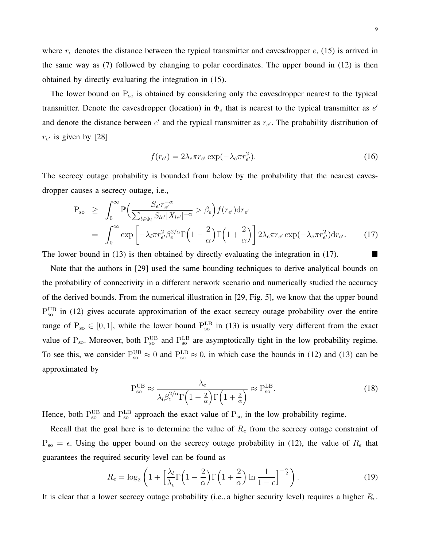where  $r_e$  denotes the distance between the typical transmitter and eavesdropper  $e$ , (15) is arrived in the same way as (7) followed by changing to polar coordinates. The upper bound in (12) is then obtained by directly evaluating the integration in (15).

The lower bound on  $P_{so}$  is obtained by considering only the eavesdropper nearest to the typical transmitter. Denote the eavesdropper (location) in  $\Phi_e$  that is nearest to the typical transmitter as  $e'$ and denote the distance between  $e'$  and the typical transmitter as  $r_{e'}$ . The probability distribution of  $r_{e'}$  is given by [28]

$$
f(r_{e'}) = 2\lambda_e \pi r_{e'} \exp(-\lambda_e \pi r_{e'}^2). \tag{16}
$$

The secrecy outage probability is bounded from below by the probability that the nearest eavesdropper causes a secrecy outage, i.e.,

$$
P_{so} \geq \int_0^\infty \mathbb{P}\Big(\frac{S_{e'}r_{e'}^{-\alpha}}{\sum_{l \in \Phi_l} S_{le'}|X_{le'}|^{-\alpha}} > \beta_e\Big) f(r_{e'}) dr_{e'}
$$
  
= 
$$
\int_0^\infty \exp\left[-\lambda_l \pi r_{e'}^2 \beta_e^{2/\alpha} \Gamma\Big(1 - \frac{2}{\alpha}\Big) \Gamma\Big(1 + \frac{2}{\alpha}\Big)\right] 2\lambda_e \pi r_{e'} \exp(-\lambda_e \pi r_{e'}^2) dr_{e'}.
$$
 (17)

The lower bound in (13) is then obtained by directly evaluating the integration in (17).

Note that the authors in [29] used the same bounding techniques to derive analytical bounds on the probability of connectivity in a different network scenario and numerically studied the accuracy of the derived bounds. From the numerical illustration in [29, Fig. 5], we know that the upper bound  $P_{so}^{UB}$  in (12) gives accurate approximation of the exact secrecy outage probability over the entire range of  $P_{so} \in [0, 1]$ , while the lower bound  $P_{so}^{LB}$  in (13) is usually very different from the exact value of  $P_{so}$ . Moreover, both  $P_{so}^{UB}$  and  $P_{so}^{LB}$  are asymptotically tight in the low probability regime. To see this, we consider  $P_{so}^{UB} \approx 0$  and  $P_{so}^{LB} \approx 0$ , in which case the bounds in (12) and (13) can be approximated by

$$
P_{so}^{UB} \approx \frac{\lambda_e}{\lambda_l \beta_e^{2/\alpha} \Gamma \left(1 - \frac{2}{\alpha}\right) \Gamma \left(1 + \frac{2}{\alpha}\right)} \approx P_{so}^{LB}.
$$
\n(18)

Hence, both  $P_{so}^{UB}$  and  $P_{so}^{LB}$  approach the exact value of  $P_{so}$  in the low probability regime.

Recall that the goal here is to determine the value of  $R_e$  from the secrecy outage constraint of  $P_{so} = \epsilon$ . Using the upper bound on the secrecy outage probability in (12), the value of  $R_e$  that guarantees the required security level can be found as

$$
R_e = \log_2\left(1 + \left[\frac{\lambda_l}{\lambda_e}\Gamma\left(1 - \frac{2}{\alpha}\right)\Gamma\left(1 + \frac{2}{\alpha}\right)\ln\frac{1}{1 - \epsilon}\right]^{-\frac{\alpha}{2}}\right). \tag{19}
$$

It is clear that a lower secrecy outage probability (i.e., a higher security level) requires a higher  $R_e$ .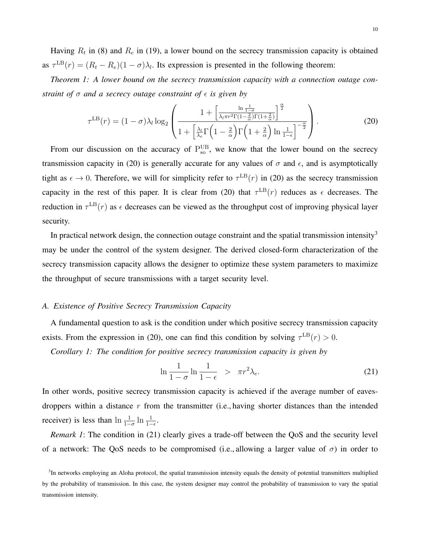Having  $R_t$  in (8) and  $R_e$  in (19), a lower bound on the secrecy transmission capacity is obtained as  $\tau^{\text{LB}}(r) = (R_t - R_e)(1 - \sigma)\lambda_l$ . Its expression is presented in the following theorem:

*Theorem 1: A lower bound on the secrecy transmission capacity with a connection outage constraint of*  $\sigma$  *and a secrecy outage constraint of*  $\epsilon$  *is given by* 

$$
\tau^{\text{LB}}(r) = (1 - \sigma)\lambda_l \log_2 \left( \frac{1 + \left[ \frac{\ln \frac{1}{1 - \sigma}}{\lambda_l \pi r^2 \Gamma(1 - \frac{2}{\alpha}) \Gamma(1 + \frac{2}{\alpha})} \right]^{\frac{\alpha}{2}}}{1 + \left[ \frac{\lambda_l}{\lambda_e} \Gamma\left(1 - \frac{2}{\alpha}\right) \Gamma\left(1 + \frac{2}{\alpha}\right) \ln \frac{1}{1 - \epsilon} \right]^{-\frac{\alpha}{2}}} \right).
$$
(20)

From our discussion on the accuracy of  $P_{\rm so}^{\rm UB}$ , we know that the lower bound on the secrecy transmission capacity in (20) is generally accurate for any values of  $\sigma$  and  $\epsilon$ , and is asymptotically tight as  $\epsilon \to 0$ . Therefore, we will for simplicity refer to  $\tau^{\text{LB}}(r)$  in (20) as the secrecy transmission capacity in the rest of this paper. It is clear from (20) that  $\tau^{\text{LB}}(r)$  reduces as  $\epsilon$  decreases. The reduction in  $\tau^{\text{LB}}(r)$  as  $\epsilon$  decreases can be viewed as the throughput cost of improving physical layer security.

In practical network design, the connection outage constraint and the spatial transmission intensity<sup>3</sup> may be under the control of the system designer. The derived closed-form characterization of the secrecy transmission capacity allows the designer to optimize these system parameters to maximize the throughput of secure transmissions with a target security level.

## *A. Existence of Positive Secrecy Transmission Capacity*

A fundamental question to ask is the condition under which positive secrecy transmission capacity exists. From the expression in (20), one can find this condition by solving  $\tau^{\text{LB}}(r) > 0$ .

*Corollary 1: The condition for positive secrecy transmission capacity is given by*

$$
\ln \frac{1}{1-\sigma} \ln \frac{1}{1-\epsilon} > \pi r^2 \lambda_e. \tag{21}
$$

In other words, positive secrecy transmission capacity is achieved if the average number of eavesdroppers within a distance  $r$  from the transmitter (i.e., having shorter distances than the intended receiver) is less than  $\ln \frac{1}{1-\sigma} \ln \frac{1}{1-\epsilon}$ .

*Remark 1*: The condition in (21) clearly gives a trade-off between the QoS and the security level of a network: The QoS needs to be compromised (i.e., allowing a larger value of  $\sigma$ ) in order to

<sup>&</sup>lt;sup>3</sup>In networks employing an Aloha protocol, the spatial transmission intensity equals the density of potential transmitters multiplied by the probability of transmission. In this case, the system designer may control the probability of transmission to vary the spatial transmission intensity.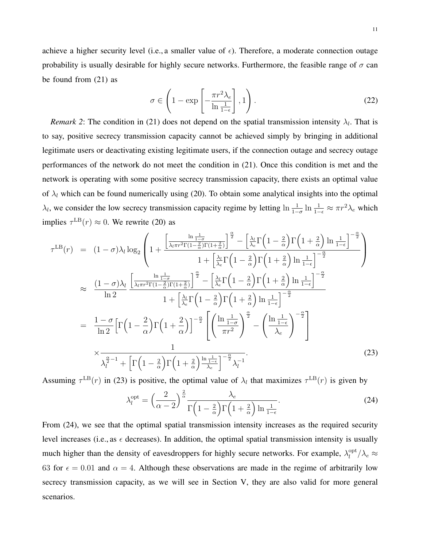achieve a higher security level (i.e., a smaller value of  $\epsilon$ ). Therefore, a moderate connection outage probability is usually desirable for highly secure networks. Furthermore, the feasible range of  $\sigma$  can be found from (21) as

$$
\sigma \in \left(1 - \exp\left[-\frac{\pi r^2 \lambda_e}{\ln \frac{1}{1-\epsilon}}\right], 1\right). \tag{22}
$$

*Remark 2*: The condition in (21) does not depend on the spatial transmission intensity  $\lambda_l$ . That is to say, positive secrecy transmission capacity cannot be achieved simply by bringing in additional legitimate users or deactivating existing legitimate users, if the connection outage and secrecy outage performances of the network do not meet the condition in (21). Once this condition is met and the network is operating with some positive secrecy transmission capacity, there exists an optimal value of  $\lambda_l$  which can be found numerically using (20). To obtain some analytical insights into the optimal  $\lambda_l$ , we consider the low secrecy transmission capacity regime by letting  $\ln \frac{1}{1-\sigma} \ln \frac{1}{1-\epsilon} \approx \pi r^2 \lambda_e$  which implies  $\tau^{\text{LB}}(r) \approx 0$ . We rewrite (20) as

$$
\tau^{\text{LB}}(r) = (1 - \sigma)\lambda_l \log_2 \left( 1 + \frac{\left[ \frac{\ln \frac{1}{1 - \sigma}}{\lambda_l \pi r^2 \Gamma(1 - \frac{2}{\alpha}) \Gamma(1 + \frac{2}{\alpha})} \right]^{\frac{\alpha}{2}} - \left[ \frac{\lambda_l}{\lambda_e} \Gamma\left(1 - \frac{2}{\alpha}\right) \Gamma\left(1 + \frac{2}{\alpha}\right) \ln \frac{1}{1 - \epsilon} \right]^{-\frac{\alpha}{2}}}{1 + \left[ \frac{\lambda_l}{\lambda_e} \Gamma\left(1 - \frac{2}{\alpha}\right) \Gamma\left(1 + \frac{2}{\alpha}\right) \ln \frac{1}{1 - \epsilon} \right]^{-\frac{\alpha}{2}}} \right)
$$
  
\n
$$
\approx \frac{(1 - \sigma)\lambda_l}{\ln 2} \frac{\left[ \frac{\ln \frac{1}{1 - \sigma}}{\lambda_l \pi r^2 \Gamma(1 - \frac{2}{\alpha}) \Gamma(1 + \frac{2}{\alpha})} \right]^{\frac{\alpha}{2}} - \left[ \frac{\lambda_l}{\lambda_e} \Gamma\left(1 - \frac{2}{\alpha}\right) \Gamma\left(1 + \frac{2}{\alpha}\right) \ln \frac{1}{1 - \epsilon} \right]^{-\frac{\alpha}{2}}}{1 + \left[ \frac{\lambda_l}{\lambda_e} \Gamma\left(1 - \frac{2}{\alpha}\right) \Gamma\left(1 + \frac{2}{\alpha}\right) \ln \frac{1}{1 - \epsilon} \right]^{-\frac{\alpha}{2}}}{1 - \left( \frac{\ln \frac{1}{1 - \epsilon}}{\lambda_e} \right)^{-\frac{\alpha}{2}}}
$$
  
\n
$$
\times \frac{1}{\lambda_l^{\frac{\alpha}{2} - 1} + \left[ \Gamma\left(1 - \frac{2}{\alpha}\right) \Gamma\left(1 + \frac{2}{\alpha}\right) \ln \frac{1}{\lambda_e} \right]^{-\frac{\alpha}{2}} \lambda_l^{-1}}.
$$
\n(23)

Assuming  $\tau^{\text{LB}}(r)$  in (23) is positive, the optimal value of  $\lambda_l$  that maximizes  $\tau^{\text{LB}}(r)$  is given by

$$
\lambda_l^{\text{opt}} = \left(\frac{2}{\alpha - 2}\right)^{\frac{2}{\alpha}} \frac{\lambda_e}{\Gamma\left(1 - \frac{2}{\alpha}\right) \Gamma\left(1 + \frac{2}{\alpha}\right) \ln\frac{1}{1 - \epsilon}}.
$$
\n(24)

From (24), we see that the optimal spatial transmission intensity increases as the required security level increases (i.e., as  $\epsilon$  decreases). In addition, the optimal spatial transmission intensity is usually much higher than the density of eavesdroppers for highly secure networks. For example,  $\lambda_l^{\text{opt}}$  $l^{\mathrm{opt}}_l/\lambda_e \approx$ 63 for  $\epsilon = 0.01$  and  $\alpha = 4$ . Although these observations are made in the regime of arbitrarily low secrecy transmission capacity, as we will see in Section V, they are also valid for more general scenarios.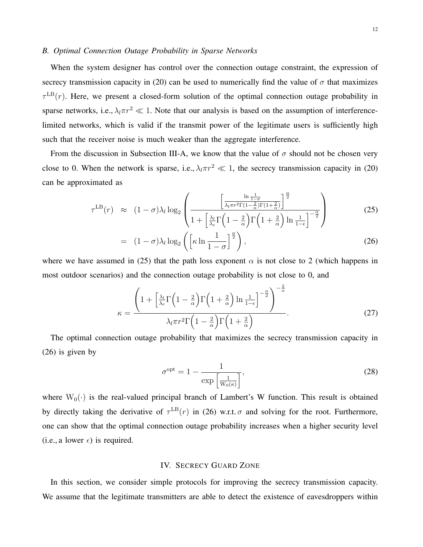## *B. Optimal Connection Outage Probability in Sparse Networks*

When the system designer has control over the connection outage constraint, the expression of secrecy transmission capacity in (20) can be used to numerically find the value of  $\sigma$  that maximizes  $\tau^{\text{LB}}(r)$ . Here, we present a closed-form solution of the optimal connection outage probability in sparse networks, i.e.,  $\lambda_1 \pi r^2 \ll 1$ . Note that our analysis is based on the assumption of interferencelimited networks, which is valid if the transmit power of the legitimate users is sufficiently high such that the receiver noise is much weaker than the aggregate interference.

From the discussion in Subsection III-A, we know that the value of  $\sigma$  should not be chosen very close to 0. When the network is sparse, i.e.,  $\lambda_l \pi r^2 \ll 1$ , the secrecy transmission capacity in (20) can be approximated as

$$
\tau^{\text{LB}}(r) \approx (1-\sigma)\lambda_l \log_2\left(\frac{\left[\frac{\ln\frac{1}{1-\sigma}}{\lambda_l \pi r^2 \Gamma(1-\frac{2}{\alpha})\Gamma(1+\frac{2}{\alpha})}\right]^{\frac{\alpha}{2}}}{1+\left[\frac{\lambda_l}{\lambda_e}\Gamma\left(1-\frac{2}{\alpha}\right)\Gamma\left(1+\frac{2}{\alpha}\right)\ln\frac{1}{1-\epsilon}\right]^{-\frac{\alpha}{2}}}\right)
$$
(25)

$$
= (1 - \sigma)\lambda_l \log_2\left(\left[\kappa \ln \frac{1}{1 - \sigma}\right]^{\frac{\alpha}{2}}\right),\tag{26}
$$

where we have assumed in (25) that the path loss exponent  $\alpha$  is not close to 2 (which happens in most outdoor scenarios) and the connection outage probability is not close to 0, and

$$
\kappa = \frac{\left(1 + \left[\frac{\lambda_l}{\lambda_e}\Gamma\left(1 - \frac{2}{\alpha}\right)\Gamma\left(1 + \frac{2}{\alpha}\right)\ln\frac{1}{1 - \epsilon}\right]^{-\frac{\alpha}{2}}\right)^{-\frac{2}{\alpha}}}{\lambda_l \pi r^2 \Gamma\left(1 - \frac{2}{\alpha}\right) \Gamma\left(1 + \frac{2}{\alpha}\right)}.
$$
\n(27)

The optimal connection outage probability that maximizes the secrecy transmission capacity in (26) is given by

$$
\sigma^{\text{opt}} = 1 - \frac{1}{\exp\left[\frac{1}{W_0(\kappa)}\right]},\tag{28}
$$

where  $W_0(\cdot)$  is the real-valued principal branch of Lambert's W function. This result is obtained by directly taking the derivative of  $\tau^{\text{LB}}(r)$  in (26) w.r.t.  $\sigma$  and solving for the root. Furthermore, one can show that the optimal connection outage probability increases when a higher security level (i.e., a lower  $\epsilon$ ) is required.

## IV. SECRECY GUARD ZONE

In this section, we consider simple protocols for improving the secrecy transmission capacity. We assume that the legitimate transmitters are able to detect the existence of eavesdroppers within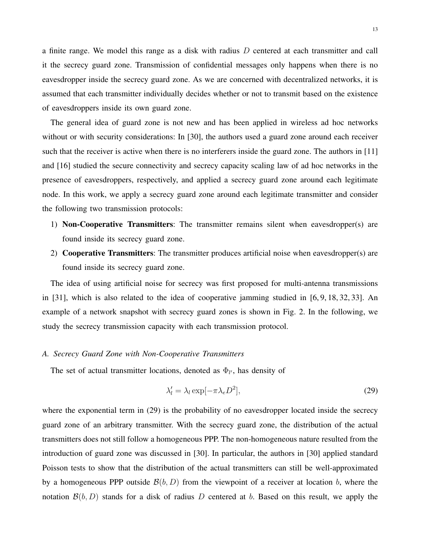a finite range. We model this range as a disk with radius D centered at each transmitter and call it the secrecy guard zone. Transmission of confidential messages only happens when there is no eavesdropper inside the secrecy guard zone. As we are concerned with decentralized networks, it is assumed that each transmitter individually decides whether or not to transmit based on the existence of eavesdroppers inside its own guard zone.

The general idea of guard zone is not new and has been applied in wireless ad hoc networks without or with security considerations: In [30], the authors used a guard zone around each receiver such that the receiver is active when there is no interferers inside the guard zone. The authors in [11] and [16] studied the secure connectivity and secrecy capacity scaling law of ad hoc networks in the presence of eavesdroppers, respectively, and applied a secrecy guard zone around each legitimate node. In this work, we apply a secrecy guard zone around each legitimate transmitter and consider the following two transmission protocols:

- 1) Non-Cooperative Transmitters: The transmitter remains silent when eavesdropper(s) are found inside its secrecy guard zone.
- 2) Cooperative Transmitters: The transmitter produces artificial noise when eavesdropper(s) are found inside its secrecy guard zone.

The idea of using artificial noise for secrecy was first proposed for multi-antenna transmissions in [31], which is also related to the idea of cooperative jamming studied in [6, 9, 18, 32, 33]. An example of a network snapshot with secrecy guard zones is shown in Fig. 2. In the following, we study the secrecy transmission capacity with each transmission protocol.

## *A. Secrecy Guard Zone with Non-Cooperative Transmitters*

The set of actual transmitter locations, denoted as  $\Phi_{l'}$ , has density of

$$
\lambda'_l = \lambda_l \exp[-\pi \lambda_e D^2],\tag{29}
$$

where the exponential term in (29) is the probability of no eavesdropper located inside the secrecy guard zone of an arbitrary transmitter. With the secrecy guard zone, the distribution of the actual transmitters does not still follow a homogeneous PPP. The non-homogeneous nature resulted from the introduction of guard zone was discussed in [30]. In particular, the authors in [30] applied standard Poisson tests to show that the distribution of the actual transmitters can still be well-approximated by a homogeneous PPP outside  $\mathcal{B}(b, D)$  from the viewpoint of a receiver at location b, where the notation  $\mathcal{B}(b, D)$  stands for a disk of radius D centered at b. Based on this result, we apply the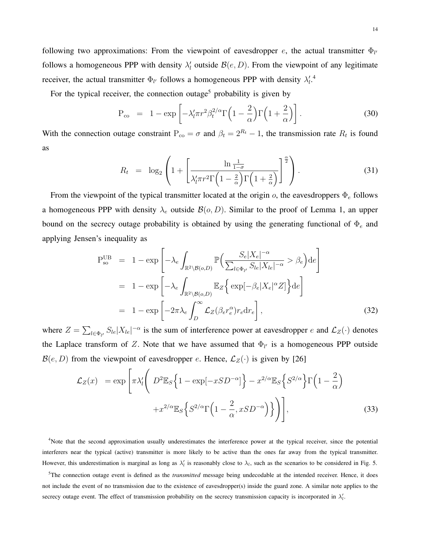following two approximations: From the viewpoint of eavesdropper e, the actual transmitter  $\Phi_{l'}$ follows a homogeneous PPP with density  $\lambda'_l$  outside  $\mathcal{B}(e, D)$ . From the viewpoint of any legitimate receiver, the actual transmitter  $\Phi_{l'}$  follows a homogeneous PPP with density  $\lambda'_{l}$ .

For the typical receiver, the connection outage<sup>5</sup> probability is given by

$$
P_{\rm co} = 1 - \exp\left[-\lambda_l' \pi r^2 \beta_t^{2/\alpha} \Gamma\left(1 - \frac{2}{\alpha}\right) \Gamma\left(1 + \frac{2}{\alpha}\right)\right].
$$
 (30)

With the connection outage constraint  $P_{\text{co}} = \sigma$  and  $\beta_t = 2^{R_t} - 1$ , the transmission rate  $R_t$  is found as

$$
R_t = \log_2\left(1 + \left[\frac{\ln\frac{1}{1-\sigma}}{\lambda'_l \pi r^2 \Gamma\left(1-\frac{2}{\alpha}\right) \Gamma\left(1+\frac{2}{\alpha}\right)}\right]^{\frac{\alpha}{2}}\right). \tag{31}
$$

From the viewpoint of the typical transmitter located at the origin  $o$ , the eavesdroppers  $\Phi_e$  follows a homogeneous PPP with density  $\lambda_e$  outside  $\mathcal{B}(o, D)$ . Similar to the proof of Lemma 1, an upper bound on the secrecy outage probability is obtained by using the generating functional of  $\Phi_e$  and applying Jensen's inequality as

$$
P_{so}^{UB} = 1 - \exp\left[-\lambda_e \int_{\mathbb{R}^2 \setminus \mathcal{B}(o,D)} \mathbb{P}\left(\frac{S_e|X_e|^{-\alpha}}{\sum_{l \in \Phi_{l'}} S_{le}|X_{le}|^{-\alpha}} > \beta_e\right) de\right]
$$
  
= 1 - \exp\left[-\lambda\_e \int\_{\mathbb{R}^2 \setminus \mathcal{B}(o,D)} \mathbb{E}\_Z\left\{\exp[-\beta\_e|X\_e|^\alpha Z]\right\} de\right]  
= 1 - \exp\left[-2\pi\lambda\_e \int\_D^\infty \mathcal{L}\_Z(\beta\_e r\_e^\alpha) r\_e dr\_e\right], \qquad (32)

where  $Z = \sum_{l \in \Phi_{l'}} S_{le} |X_{le}|^{-\alpha}$  is the sum of interference power at eavesdropper e and  $\mathcal{L}_Z(\cdot)$  denotes the Laplace transform of Z. Note that we have assumed that  $\Phi_{l'}$  is a homogeneous PPP outside  $\mathcal{B}(e, D)$  from the viewpoint of eavesdropper e. Hence,  $\mathcal{L}_Z(\cdot)$  is given by [26]

$$
\mathcal{L}_Z(x) = \exp\left[\pi \lambda'_l \left(D^2 \mathbb{E}_S \left\{1 - \exp[-xSD^{-\alpha}]\right\} - x^{2/\alpha} \mathbb{E}_S \left\{S^{2/\alpha}\right\} \Gamma\left(1 - \frac{2}{\alpha}\right) + x^{2/\alpha} \mathbb{E}_S \left\{S^{2/\alpha} \Gamma\left(1 - \frac{2}{\alpha}, xSD^{-\alpha}\right)\right\}\right)\right],\tag{33}
$$

<sup>4</sup>Note that the second approximation usually underestimates the interference power at the typical receiver, since the potential interferers near the typical (active) transmitter is more likely to be active than the ones far away from the typical transmitter. However, this underestimation is marginal as long as  $\lambda'_l$  is reasonably close to  $\lambda_l$ , such as the scenarios to be considered in Fig. 5.

<sup>5</sup>The connection outage event is defined as the *transmitted* message being undecodable at the intended receiver. Hence, it does not include the event of no transmission due to the existence of eavesdropper(s) inside the guard zone. A similar note applies to the secrecy outage event. The effect of transmission probability on the secrecy transmission capacity is incorporated in  $\lambda'_l$ .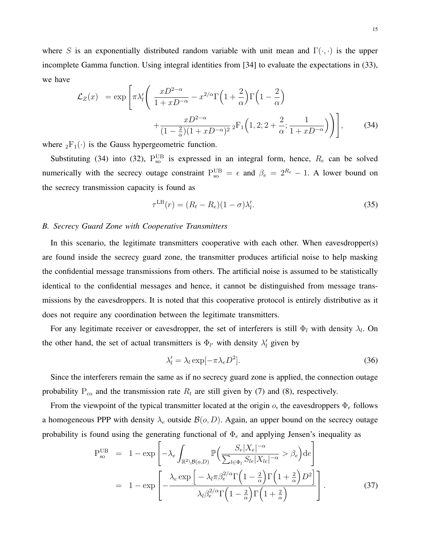where S is an exponentially distributed random variable with unit mean and  $\Gamma(\cdot, \cdot)$  is the upper incomplete Gamma function. Using integral identities from [34] to evaluate the expectations in (33), we have

$$
\mathcal{L}_Z(x) = \exp\left[\pi\lambda'_l \left(\frac{xD^{2-\alpha}}{1+xD^{-\alpha}} - x^{2/\alpha}\Gamma\left(1+\frac{2}{\alpha}\right)\Gamma\left(1-\frac{2}{\alpha}\right)\right.\right.\left.\left.\left.+\frac{xD^{2-\alpha}}{(1-\frac{2}{\alpha})(1+xD^{-\alpha})^2} \, {}_2F_1\left(1,2;2+\frac{2}{\alpha};\frac{1}{1+xD^{-\alpha}}\right)\right)\right],\right.\right.\tag{34}
$$

where  ${}_2F_1(\cdot)$  is the Gauss hypergeometric function.

Substituting (34) into (32),  $P_{so}^{UB}$  is expressed in an integral form, hence,  $R_e$  can be solved numerically with the secrecy outage constraint  $P_{so}^{UB} = \epsilon$  and  $\beta_e = 2^{Re} - 1$ . A lower bound on the secrecy transmission capacity is found as

$$
\tau^{\text{LB}}(r) = (R_t - R_e)(1 - \sigma)\lambda'_t. \tag{35}
$$

#### *B. Secrecy Guard Zone with Cooperative Transmitters*

In this scenario, the legitimate transmitters cooperative with each other. When eavesdropper(s) are found inside the secrecy guard zone, the transmitter produces artificial noise to help masking the confidential message transmissions from others. The artificial noise is assumed to be statistically identical to the confidential messages and hence, it cannot be distinguished from message transmissions by the eavesdroppers. It is noted that this cooperative protocol is entirely distributive as it does not require any coordination between the legitimate transmitters.

For any legitimate receiver or eavesdropper, the set of interferers is still  $\Phi_l$  with density  $\lambda_l$ . On the other hand, the set of actual transmitters is  $\Phi_{l'}$  with density  $\lambda'_{l}$  given by

$$
\lambda'_l = \lambda_l \exp[-\pi \lambda_e D^2].\tag{36}
$$

Since the interferers remain the same as if no secrecy guard zone is applied, the connection outage probability  $P_{\rm co}$  and the transmission rate  $R_t$  are still given by (7) and (8), respectively.

From the viewpoint of the typical transmitter located at the origin  $o$ , the eavesdroppers  $\Phi_e$  follows a homogeneous PPP with density  $\lambda_e$  outside  $\mathcal{B}(o, D)$ . Again, an upper bound on the secrecy outage probability is found using the generating functional of  $\Phi_e$  and applying Jensen's inequality as

$$
P_{so}^{UB} = 1 - \exp\left[-\lambda_e \int_{\mathbb{R}^2 \setminus \mathcal{B}(o,D)} \mathbb{P}\left(\frac{S_e|X_e|^{-\alpha}}{\sum_{l \in \Phi_l} S_{le}|X_{le}|^{-\alpha}} > \beta_e\right) d e\right]
$$
  
= 1 - \exp\left[-\frac{\lambda\_e \exp\left[-\lambda\_l \pi \beta\_e^{2/\alpha} \Gamma\left(1 - \frac{2}{\alpha}\right) \Gamma\left(1 + \frac{2}{\alpha}\right) D^2\right]}{\lambda\_l \beta\_e^{2/\alpha} \Gamma\left(1 - \frac{2}{\alpha}\right) \Gamma\left(1 + \frac{2}{\alpha}\right)}\right]. \tag{37}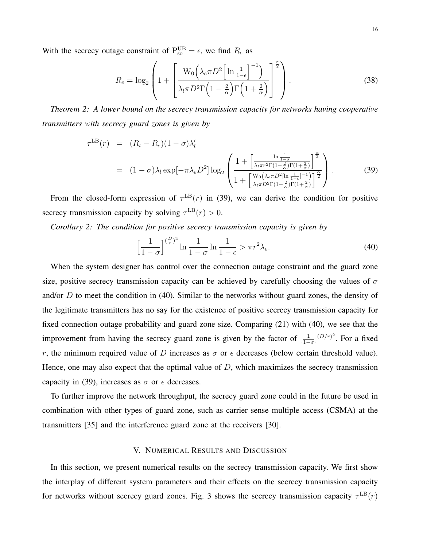With the secrecy outage constraint of  $P_{so}^{UB} = \epsilon$ , we find  $R_e$  as

$$
R_e = \log_2 \left( 1 + \left[ \frac{W_0 \left( \lambda_e \pi D^2 \left[ \ln \frac{1}{1 - \epsilon} \right]^{-1} \right)}{\lambda_l \pi D^2 \Gamma \left( 1 - \frac{2}{\alpha} \right) \Gamma \left( 1 + \frac{2}{\alpha} \right)} \right]^{\frac{\alpha}{2}} \right).
$$
 (38)

*Theorem 2: A lower bound on the secrecy transmission capacity for networks having cooperative transmitters with secrecy guard zones is given by*

$$
\tau^{\text{LB}}(r) = (R_t - R_e)(1 - \sigma)\lambda'_l
$$
\n
$$
= (1 - \sigma)\lambda_l \exp[-\pi\lambda_e D^2] \log_2 \left( \frac{1 + \left[ \frac{\ln\frac{1}{1 - \sigma}}{\lambda_l \pi r^2 \Gamma(1 - \frac{2}{\alpha}) \Gamma(1 + \frac{2}{\alpha})} \right]^{\frac{\alpha}{2}}}{1 + \left[ \frac{W_0(\lambda_e \pi D^2 [\ln\frac{1}{1 - \epsilon}]^{-1})}{\lambda_l \pi D^2 \Gamma(1 - \frac{2}{\alpha}) \Gamma(1 + \frac{2}{\alpha})} \right]^{\frac{\alpha}{2}} \right). \tag{39}
$$

From the closed-form expression of  $\tau^{\text{LB}}(r)$  in (39), we can derive the condition for positive secrecy transmission capacity by solving  $\tau^{\text{LB}}(r) > 0$ .

*Corollary 2: The condition for positive secrecy transmission capacity is given by*

$$
\left[\frac{1}{1-\sigma}\right]^{(\frac{D}{r})^2} \ln \frac{1}{1-\sigma} \ln \frac{1}{1-\epsilon} > \pi r^2 \lambda_e.
$$
\n(40)

When the system designer has control over the connection outage constraint and the guard zone size, positive secrecy transmission capacity can be achieved by carefully choosing the values of  $\sigma$ and/or  $D$  to meet the condition in (40). Similar to the networks without guard zones, the density of the legitimate transmitters has no say for the existence of positive secrecy transmission capacity for fixed connection outage probability and guard zone size. Comparing (21) with (40), we see that the improvement from having the secrecy guard zone is given by the factor of  $\left[\frac{1}{1}\right]$  $\frac{1}{1-\sigma}$ ] $(D/r)^2$ . For a fixed r, the minimum required value of D increases as  $\sigma$  or  $\epsilon$  decreases (below certain threshold value). Hence, one may also expect that the optimal value of  $D$ , which maximizes the secrecy transmission capacity in (39), increases as  $\sigma$  or  $\epsilon$  decreases.

To further improve the network throughput, the secrecy guard zone could in the future be used in combination with other types of guard zone, such as carrier sense multiple access (CSMA) at the transmitters [35] and the interference guard zone at the receivers [30].

# V. NUMERICAL RESULTS AND DISCUSSION

In this section, we present numerical results on the secrecy transmission capacity. We first show the interplay of different system parameters and their effects on the secrecy transmission capacity for networks without secrecy guard zones. Fig. 3 shows the secrecy transmission capacity  $\tau^{\text{LB}}(r)$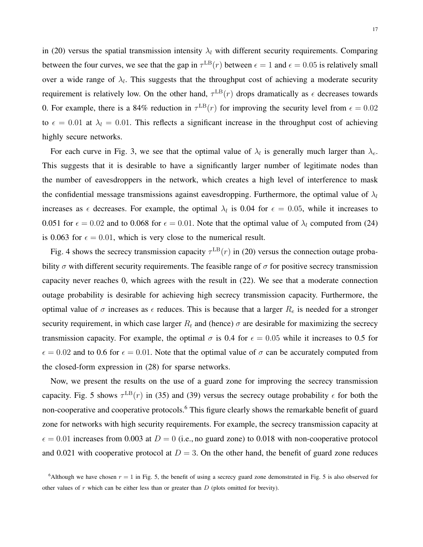in (20) versus the spatial transmission intensity  $\lambda_l$  with different security requirements. Comparing between the four curves, we see that the gap in  $\tau^{\text{LB}}(r)$  between  $\epsilon = 1$  and  $\epsilon = 0.05$  is relatively small over a wide range of  $\lambda_l$ . This suggests that the throughput cost of achieving a moderate security requirement is relatively low. On the other hand,  $\tau^{LB}(r)$  drops dramatically as  $\epsilon$  decreases towards 0. For example, there is a 84% reduction in  $\tau^{\text{LB}}(r)$  for improving the security level from  $\epsilon = 0.02$ to  $\epsilon = 0.01$  at  $\lambda_l = 0.01$ . This reflects a significant increase in the throughput cost of achieving highly secure networks.

For each curve in Fig. 3, we see that the optimal value of  $\lambda_l$  is generally much larger than  $\lambda_e$ . This suggests that it is desirable to have a significantly larger number of legitimate nodes than the number of eavesdroppers in the network, which creates a high level of interference to mask the confidential message transmissions against eavesdropping. Furthermore, the optimal value of  $\lambda_l$ increases as  $\epsilon$  decreases. For example, the optimal  $\lambda_l$  is 0.04 for  $\epsilon = 0.05$ , while it increases to 0.051 for  $\epsilon = 0.02$  and to 0.068 for  $\epsilon = 0.01$ . Note that the optimal value of  $\lambda_l$  computed from (24) is 0.063 for  $\epsilon = 0.01$ , which is very close to the numerical result.

Fig. 4 shows the secrecy transmission capacity  $\tau^{\text{LB}}(r)$  in (20) versus the connection outage probability  $\sigma$  with different security requirements. The feasible range of  $\sigma$  for positive secrecy transmission capacity never reaches 0, which agrees with the result in (22). We see that a moderate connection outage probability is desirable for achieving high secrecy transmission capacity. Furthermore, the optimal value of  $\sigma$  increases as  $\epsilon$  reduces. This is because that a larger  $R_e$  is needed for a stronger security requirement, in which case larger  $R_t$  and (hence)  $\sigma$  are desirable for maximizing the secrecy transmission capacity. For example, the optimal  $\sigma$  is 0.4 for  $\epsilon = 0.05$  while it increases to 0.5 for  $\epsilon = 0.02$  and to 0.6 for  $\epsilon = 0.01$ . Note that the optimal value of  $\sigma$  can be accurately computed from the closed-form expression in (28) for sparse networks.

Now, we present the results on the use of a guard zone for improving the secrecy transmission capacity. Fig. 5 shows  $\tau^{\text{LB}}(r)$  in (35) and (39) versus the secrecy outage probability  $\epsilon$  for both the non-cooperative and cooperative protocols.<sup>6</sup> This figure clearly shows the remarkable benefit of guard zone for networks with high security requirements. For example, the secrecy transmission capacity at  $\epsilon = 0.01$  increases from 0.003 at  $D = 0$  (i.e., no guard zone) to 0.018 with non-cooperative protocol and 0.021 with cooperative protocol at  $D = 3$ . On the other hand, the benefit of guard zone reduces

<sup>&</sup>lt;sup>6</sup>Although we have chosen  $r = 1$  in Fig. 5, the benefit of using a secrecy guard zone demonstrated in Fig. 5 is also observed for other values of r which can be either less than or greater than  $D$  (plots omitted for brevity).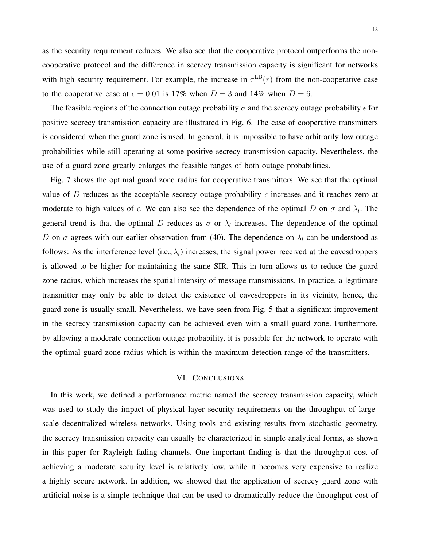as the security requirement reduces. We also see that the cooperative protocol outperforms the noncooperative protocol and the difference in secrecy transmission capacity is significant for networks with high security requirement. For example, the increase in  $\tau^{\text{LB}}(r)$  from the non-cooperative case to the cooperative case at  $\epsilon = 0.01$  is 17% when  $D = 3$  and 14% when  $D = 6$ .

The feasible regions of the connection outage probability  $\sigma$  and the secrecy outage probability  $\epsilon$  for positive secrecy transmission capacity are illustrated in Fig. 6. The case of cooperative transmitters is considered when the guard zone is used. In general, it is impossible to have arbitrarily low outage probabilities while still operating at some positive secrecy transmission capacity. Nevertheless, the use of a guard zone greatly enlarges the feasible ranges of both outage probabilities.

Fig. 7 shows the optimal guard zone radius for cooperative transmitters. We see that the optimal value of D reduces as the acceptable secrecy outage probability  $\epsilon$  increases and it reaches zero at moderate to high values of  $\epsilon$ . We can also see the dependence of the optimal D on  $\sigma$  and  $\lambda_l$ . The general trend is that the optimal D reduces as  $\sigma$  or  $\lambda_l$  increases. The dependence of the optimal D on  $\sigma$  agrees with our earlier observation from (40). The dependence on  $\lambda_l$  can be understood as follows: As the interference level (i.e.,  $\lambda_l$ ) increases, the signal power received at the eavesdroppers is allowed to be higher for maintaining the same SIR. This in turn allows us to reduce the guard zone radius, which increases the spatial intensity of message transmissions. In practice, a legitimate transmitter may only be able to detect the existence of eavesdroppers in its vicinity, hence, the guard zone is usually small. Nevertheless, we have seen from Fig. 5 that a significant improvement in the secrecy transmission capacity can be achieved even with a small guard zone. Furthermore, by allowing a moderate connection outage probability, it is possible for the network to operate with the optimal guard zone radius which is within the maximum detection range of the transmitters.

## VI. CONCLUSIONS

In this work, we defined a performance metric named the secrecy transmission capacity, which was used to study the impact of physical layer security requirements on the throughput of largescale decentralized wireless networks. Using tools and existing results from stochastic geometry, the secrecy transmission capacity can usually be characterized in simple analytical forms, as shown in this paper for Rayleigh fading channels. One important finding is that the throughput cost of achieving a moderate security level is relatively low, while it becomes very expensive to realize a highly secure network. In addition, we showed that the application of secrecy guard zone with artificial noise is a simple technique that can be used to dramatically reduce the throughput cost of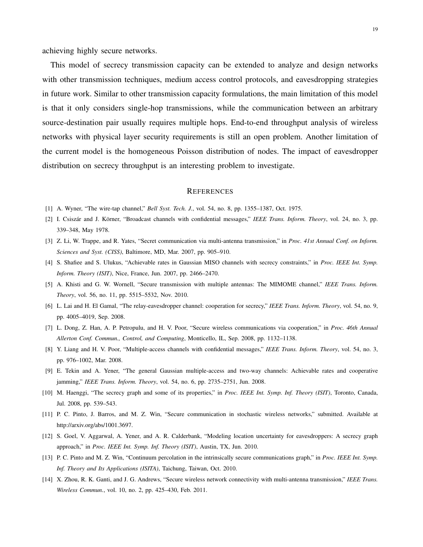achieving highly secure networks.

This model of secrecy transmission capacity can be extended to analyze and design networks with other transmission techniques, medium access control protocols, and eavesdropping strategies in future work. Similar to other transmission capacity formulations, the main limitation of this model is that it only considers single-hop transmissions, while the communication between an arbitrary source-destination pair usually requires multiple hops. End-to-end throughput analysis of wireless networks with physical layer security requirements is still an open problem. Another limitation of the current model is the homogeneous Poisson distribution of nodes. The impact of eavesdropper distribution on secrecy throughput is an interesting problem to investigate.

#### **REFERENCES**

- [1] A. Wyner, "The wire-tap channel," *Bell Syst. Tech. J.*, vol. 54, no. 8, pp. 1355–1387, Oct. 1975.
- [2] I. Csiszár and J. Körner, "Broadcast channels with confidential messages," IEEE Trans. Inform. Theory, vol. 24, no. 3, pp. 339–348, May 1978.
- [3] Z. Li, W. Trappe, and R. Yates, "Secret communication via multi-antenna transmission," in *Proc. 41st Annual Conf. on Inform. Sciences and Syst. (CISS)*, Baltimore, MD, Mar. 2007, pp. 905–910.
- [4] S. Shafiee and S. Ulukus, "Achievable rates in Gaussian MISO channels with secrecy constraints," in *Proc. IEEE Int. Symp. Inform. Theory (ISIT)*, Nice, France, Jun. 2007, pp. 2466–2470.
- [5] A. Khisti and G. W. Wornell, "Secure transmission with multiple antennas: The MIMOME channel," *IEEE Trans. Inform. Theory*, vol. 56, no. 11, pp. 5515–5532, Nov. 2010.
- [6] L. Lai and H. El Gamal, "The relay-eavesdropper channel: cooperation for secrecy," *IEEE Trans. Inform. Theory*, vol. 54, no. 9, pp. 4005–4019, Sep. 2008.
- [7] L. Dong, Z. Han, A. P. Petropulu, and H. V. Poor, "Secure wireless communications via cooperation," in *Proc. 46th Annual Allerton Conf. Commun., Control, and Computing*, Monticello, IL, Sep. 2008, pp. 1132–1138.
- [8] Y. Liang and H. V. Poor, "Multiple-access channels with confidential messages," *IEEE Trans. Inform. Theory*, vol. 54, no. 3, pp. 976–1002, Mar. 2008.
- [9] E. Tekin and A. Yener, "The general Gaussian multiple-access and two-way channels: Achievable rates and cooperative jamming," *IEEE Trans. Inform. Theory*, vol. 54, no. 6, pp. 2735–2751, Jun. 2008.
- [10] M. Haenggi, "The secrecy graph and some of its properties," in *Proc. IEEE Int. Symp. Inf. Theory (ISIT)*, Toronto, Canada, Jul. 2008, pp. 539–543.
- [11] P. C. Pinto, J. Barros, and M. Z. Win, "Secure communication in stochastic wireless networks," submitted. Available at http://arxiv.org/abs/1001.3697.
- [12] S. Goel, V. Aggarwal, A. Yener, and A. R. Calderbank, "Modeling location uncertainty for eavesdroppers: A secrecy graph approach," in *Proc. IEEE Int. Symp. Inf. Theory (ISIT)*, Austin, TX, Jun. 2010.
- [13] P. C. Pinto and M. Z. Win, "Continuum percolation in the intrinsically secure communications graph," in *Proc. IEEE Int. Symp. Inf. Theory and Its Applications (ISITA)*, Taichung, Taiwan, Oct. 2010.
- [14] X. Zhou, R. K. Ganti, and J. G. Andrews, "Secure wireless network connectivity with multi-antenna transmission," *IEEE Trans. Wireless Commun.*, vol. 10, no. 2, pp. 425–430, Feb. 2011.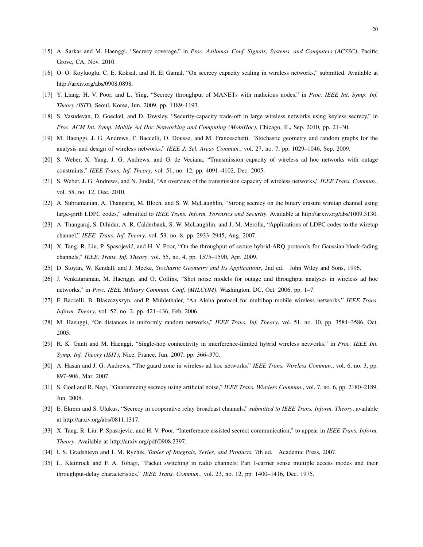- [15] A. Sarkar and M. Haenggi, "Secrecy coverage," in *Proc. Asilomar Conf. Signals, Systems, and Computers (ACSSC)*, Pacific Grove, CA, Nov. 2010.
- [16] O. O. Koyluoglu, C. E. Koksal, and H. El Gamal, "On secrecy capacity scaling in wireless networks," submitted. Available at http://arxiv.org/abs/0908.0898.
- [17] Y. Liang, H. V. Poor, and L. Ying, "Secrecy throughput of MANETs with malicious nodes," in *Proc. IEEE Int. Symp. Inf. Theory (ISIT)*, Seoul, Korea, Jun. 2009, pp. 1189–1193.
- [18] S. Vasudevan, D. Goeckel, and D. Towsley, "Security-capacity trade-off in large wireless networks using keyless secrecy," in *Proc. ACM Int. Symp. Mobile Ad Hoc Networking and Computing (MobiHoc)*, Chicago, IL, Sep. 2010, pp. 21–30.
- [19] M. Haenggi, J. G. Andrews, F. Baccelli, O. Dousse, and M. Franceschetti, "Stochastic geometry and random graphs for the analysis and design of wireless networks," *IEEE J. Sel. Areas Commun.*, vol. 27, no. 7, pp. 1029–1046, Sep. 2009.
- [20] S. Weber, X. Yang, J. G. Andrews, and G. de Veciana, "Transmission capacity of wireless ad hoc networks with outage constraints," *IEEE Trans. Inf. Theory*, vol. 51, no. 12, pp. 4091–4102, Dec. 2005.
- [21] S. Weber, J. G. Andrews, and N. Jindal, "An overview of the transmission capacity of wireless networks," *IEEE Trans. Commun.*, vol. 58, no. 12, Dec. 2010.
- [22] A. Subramanian, A. Thangaraj, M. Bloch, and S. W. McLaughlin, "Strong secrecy on the binary erasure wiretap channel using large-girth LDPC codes," submitted to *IEEE Trans. Inform. Forensics and Security*. Available at http://arxiv.org/abs/1009.3130.
- [23] A. Thangaraj, S. Dihidar, A. R. Calderbank, S. W. McLaughlin, and J.-M. Merolla, "Applications of LDPC codes to the wiretap channel," *IEEE. Trans. Inf. Theory*, vol. 53, no. 8, pp. 2933–2945, Aug. 2007.
- [24] X. Tang, R. Liu, P. Spasojevic, and H. V. Poor, "On the throughput of secure hybrid-ARQ protocols for Gaussian block-fading ´ channels," *IEEE. Trans. Inf. Theory*, vol. 55, no. 4, pp. 1575–1590, Apr. 2009.
- [25] D. Stoyan, W. Kendall, and J. Mecke, *Stochastic Geometry and Its Applications*, 2nd ed. John Wiley and Sons, 1996.
- [26] J. Venkataraman, M. Haenggi, and O. Collins, "Shot noise models for outage and throughput analyses in wireless ad hoc networks," in *Proc. IEEE Military Commun. Conf. (MILCOM)*, Washington, DC, Oct. 2006, pp. 1–7.
- [27] F. Baccelli, B. Błaszczyszyn, and P. Mühlethaler, "An Aloha protocol for multihop mobile wireless networks," *IEEE Trans. Inform. Theory*, vol. 52, no. 2, pp. 421–436, Feb. 2006.
- [28] M. Haenggi, "On distances in uniformly random networks," *IEEE Trans. Inf. Theory*, vol. 51, no. 10, pp. 3584–3586, Oct. 2005.
- [29] R. K. Ganti and M. Haenggi, "Single-hop connectivity in interference-limited hybrid wireless networks," in *Proc. IEEE Int. Symp. Inf. Theory (ISIT)*, Nice, France, Jun. 2007, pp. 366–370.
- [30] A. Hasan and J. G. Andrews, "The guard zone in wireless ad hoc networks," *IEEE Trans. Wireless Commun.*, vol. 6, no. 3, pp. 897–906, Mar. 2007.
- [31] S. Goel and R. Negi, "Guaranteeing secrecy using artificial noise," *IEEE Trans. Wireless Commun.*, vol. 7, no. 6, pp. 2180–2189, Jun. 2008.
- [32] E. Ekrem and S. Ulukus, "Secrecy in cooperative relay broadcast channels," *submitted to IEEE Trans. Inform. Theory*, available at http://arxiv.org/abs/0811.1317.
- [33] X. Tang, R. Liu, P. Spasojevic, and H. V. Poor, "Interference assisted secrect communication," to appear in *IEEE Trans. Inform. Theory*. Available at http://arxiv.org/pdf/0908.2397.
- [34] I. S. Gradshteyn and I. M. Ryzhik, *Tables of Integrals, Series, and Products*, 7th ed. Academic Press, 2007.
- [35] L. Kleinrock and F. A. Tobagi, "Packet switching in radio channels: Part I-carrier sense multiple access modes and their throughput-delay characteristics," *IEEE Trans. Commun.*, vol. 23, no. 12, pp. 1400–1416, Dec. 1975.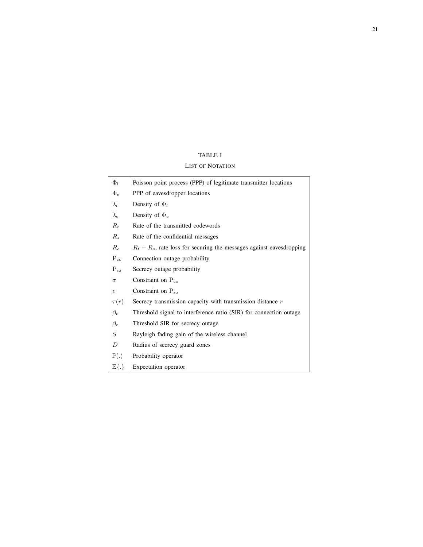#### LIST OF NOTATION

| $\Phi_l$              | Poisson point process (PPP) of legitimate transmitter locations         |
|-----------------------|-------------------------------------------------------------------------|
| $\Phi_e$              | PPP of eavesdropper locations                                           |
| $\lambda_l$           | Density of $\Phi_l$                                                     |
| $\lambda_e$           | Density of $\Phi_e$                                                     |
| $R_t$                 | Rate of the transmitted codewords                                       |
| $R_{s}$               | Rate of the confidential messages                                       |
| $R_e$                 | $R_t - R_s$ , rate loss for securing the messages against eavesdropping |
| $P_{co}$              | Connection outage probability                                           |
| $P_{so}$              | Secrecy outage probability                                              |
| $\sigma$              | Constraint on $P_{co}$                                                  |
| $\epsilon$            | Constraint on $P_{so}$                                                  |
| $\tau(r)$             | Secrecy transmission capacity with transmission distance $r$            |
| $\beta_t$             | Threshold signal to interference ratio (SIR) for connection outage      |
| $\beta_e$             | Threshold SIR for secrecy outage                                        |
| S                     | Rayleigh fading gain of the wireless channel                            |
| D                     | Radius of secrecy guard zones                                           |
| $\mathbb{P}(.)$       | Probability operator                                                    |
| $\mathbb{E}\{\cdot\}$ | Expectation operator                                                    |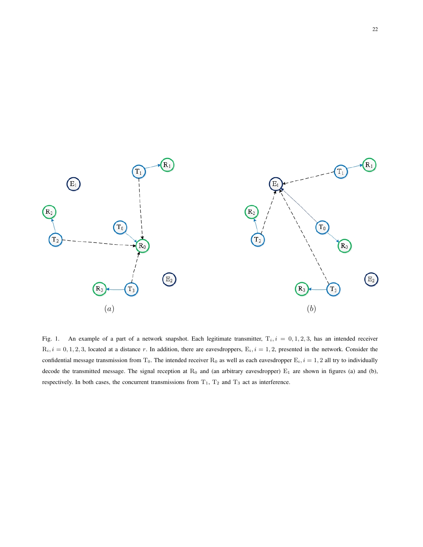

Fig. 1. An example of a part of a network snapshot. Each legitimate transmitter,  $T_i$ ,  $i = 0, 1, 2, 3$ , has an intended receiver  $R_i$ ,  $i = 0, 1, 2, 3$ , located at a distance r. In addition, there are eavesdroppers,  $E_i$ ,  $i = 1, 2$ , presented in the network. Consider the confidential message transmission from  $T_0$ . The intended receiver  $R_0$  as well as each eavesdropper  $E_i$ ,  $i = 1, 2$  all try to individually decode the transmitted message. The signal reception at  $R_0$  and (an arbitrary eavesdropper)  $E_1$  are shown in figures (a) and (b), respectively. In both cases, the concurrent transmissions from  $T_1$ ,  $T_2$  and  $T_3$  act as interference.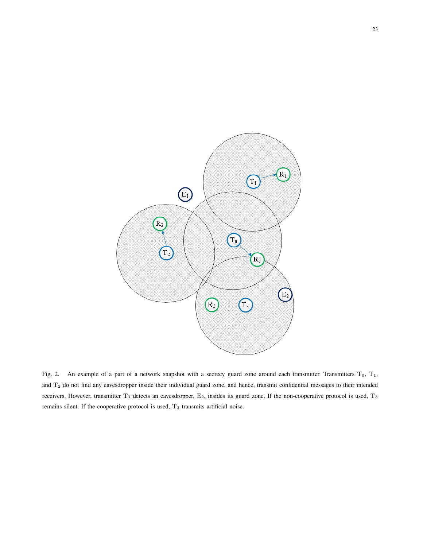

Fig. 2. An example of a part of a network snapshot with a secrecy guard zone around each transmitter. Transmitters  $T_0$ ,  $T_1$ , and T<sup>2</sup> do not find any eavesdropper inside their individual guard zone, and hence, transmit confidential messages to their intended receivers. However, transmitter  $T_3$  detects an eavesdropper,  $E_2$ , insides its guard zone. If the non-cooperative protocol is used,  $T_3$ remains silent. If the cooperative protocol is used,  $T_3$  transmits artificial noise.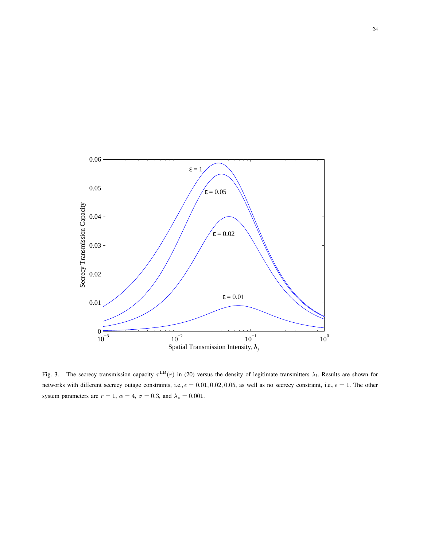

Fig. 3. The secrecy transmission capacity  $\tau^{\text{LB}}(r)$  in (20) versus the density of legitimate transmitters  $\lambda_l$ . Results are shown for networks with different secrecy outage constraints, i.e.,  $\epsilon = 0.01, 0.02, 0.05$ , as well as no secrecy constraint, i.e.,  $\epsilon = 1$ . The other system parameters are  $r = 1$ ,  $\alpha = 4$ ,  $\sigma = 0.3$ , and  $\lambda_e = 0.001$ .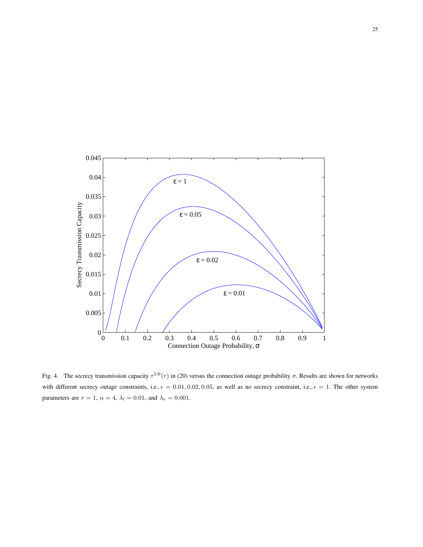

Fig. 4. The secrecy transmission capacity  $\tau^{\text{LB}}(r)$  in (20) versus the connection outage probability  $\sigma$ . Results are shown for networks with different secrecy outage constraints, i.e.,  $\epsilon = 0.01, 0.02, 0.05$ , as well as no secrecy constraint, i.e.,  $\epsilon = 1$ . The other system parameters are  $r = 1$ ,  $\alpha = 4$ ,  $\lambda_l = 0.01$ , and  $\lambda_e = 0.001$ .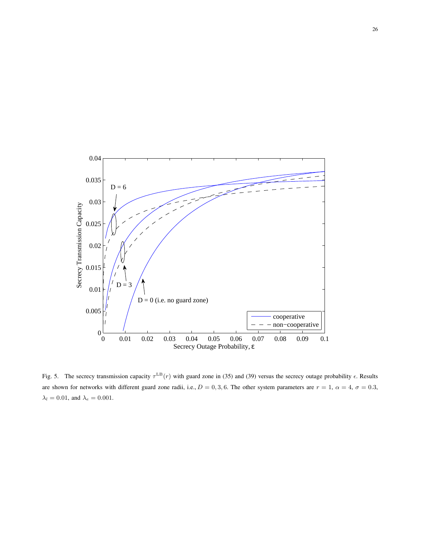

Fig. 5. The secrecy transmission capacity  $\tau^{\text{LB}}(r)$  with guard zone in (35) and (39) versus the secrecy outage probability  $\epsilon$ . Results are shown for networks with different guard zone radii, i.e.,  $D = 0, 3, 6$ . The other system parameters are  $r = 1$ ,  $\alpha = 4$ ,  $\sigma = 0.3$ ,  $\lambda_l=0.01,$  and  $\lambda_e=0.001.$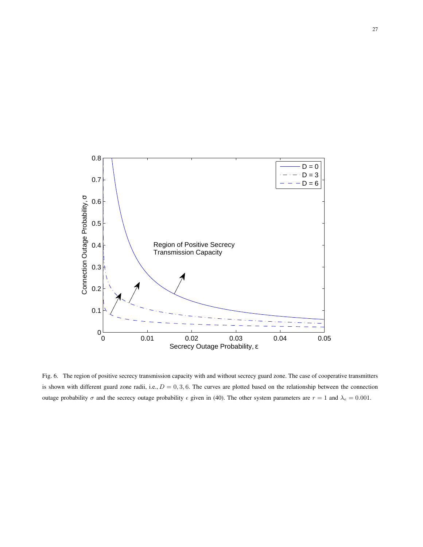

Fig. 6. The region of positive secrecy transmission capacity with and without secrecy guard zone. The case of cooperative transmitters is shown with different guard zone radii, i.e.,  $D = 0, 3, 6$ . The curves are plotted based on the relationship between the connection outage probability σ and the secrecy outage probability  $\epsilon$  given in (40). The other system parameters are  $r = 1$  and  $\lambda_e = 0.001$ .